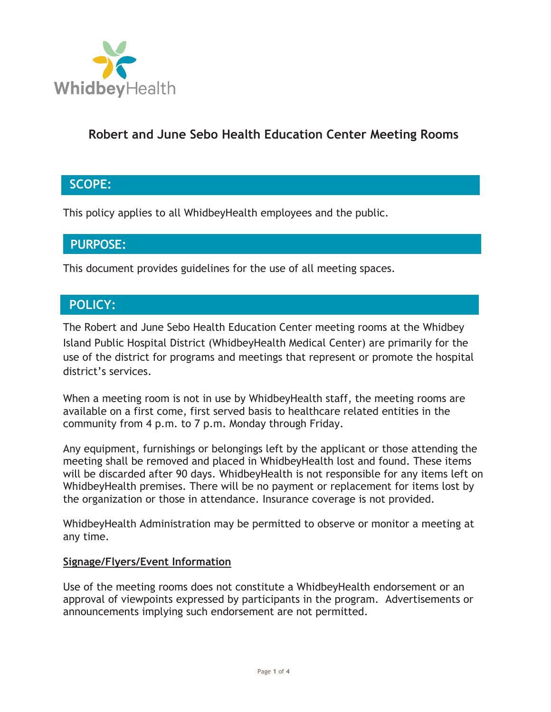

## **Robert and June Sebo Health Education Center Meeting Rooms**

## **SCOPE:**

This policy applies to all WhidbeyHealth employees and the public.

### **PURPOSE:**

This document provides guidelines for the use of all meeting spaces.

## **POLICY:**

The Robert and June Sebo Health Education Center meeting rooms at the Whidbey Island Public Hospital District (WhidbeyHealth Medical Center) are primarily for the use of the district for programs and meetings that represent or promote the hospital district's services.

When a meeting room is not in use by WhidbeyHealth staff, the meeting rooms are available on a first come, first served basis to healthcare related entities in the community from 4 p.m. to 7 p.m. Monday through Friday.

Any equipment, furnishings or belongings left by the applicant or those attending the meeting shall be removed and placed in WhidbeyHealth lost and found. These items will be discarded after 90 days. WhidbeyHealth is not responsible for any items left on WhidbeyHealth premises. There will be no payment or replacement for items lost by the organization or those in attendance. Insurance coverage is not provided.

WhidbeyHealth Administration may be permitted to observe or monitor a meeting at any time.

#### **Signage/Flyers/Event Information**

Use of the meeting rooms does not constitute a WhidbeyHealth endorsement or an approval of viewpoints expressed by participants in the program. Advertisements or announcements implying such endorsement are not permitted.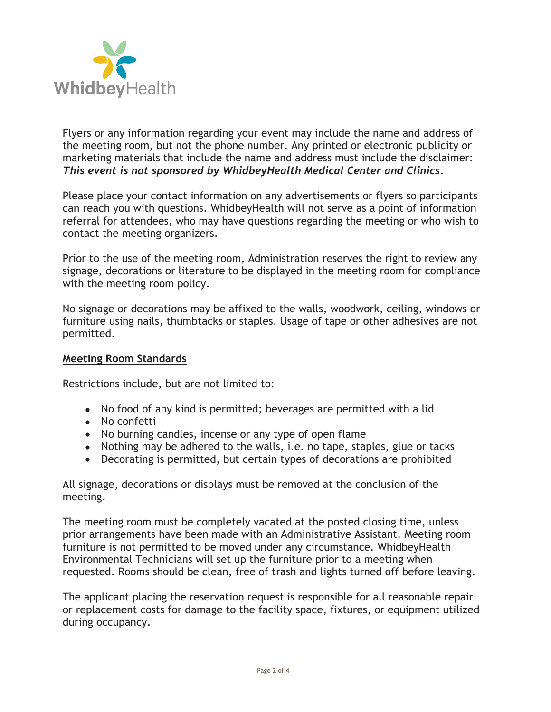

Flyers or any information regarding your event may include the name and address of the meeting room, but not the phone number. Any printed or electronic publicity or marketing materials that include the name and address must include the disclaimer: *This event is not sponsored by WhidbeyHealth Medical Center and Clinics.*

Please place your contact information on any advertisements or flyers so participants can reach you with questions. WhidbeyHealth will not serve as a point of information referral for attendees, who may have questions regarding the meeting or who wish to contact the meeting organizers.

Prior to the use of the meeting room, Administration reserves the right to review any signage, decorations or literature to be displayed in the meeting room for compliance with the meeting room policy.

No signage or decorations may be affixed to the walls, woodwork, ceiling, windows or furniture using nails, thumbtacks or staples. Usage of tape or other adhesives are not permitted.

#### **Meeting Room Standards**

Restrictions include, but are not limited to:

- No food of any kind is permitted; beverages are permitted with a lid
- No confetti
- No burning candles, incense or any type of open flame
- Nothing may be adhered to the walls, *i.e.* no tape, staples, glue or tacks
- Decorating is permitted, but certain types of decorations are prohibited

All signage, decorations or displays must be removed at the conclusion of the meeting.

The meeting room must be completely vacated at the posted closing time, unless prior arrangements have been made with an Administrative Assistant. Meeting room furniture is not permitted to be moved under any circumstance. WhidbeyHealth Environmental Technicians will set up the furniture prior to a meeting when requested. Rooms should be clean, free of trash and lights turned off before leaving.

The applicant placing the reservation request is responsible for all reasonable repair or replacement costs for damage to the facility space, fixtures, or equipment utilized during occupancy.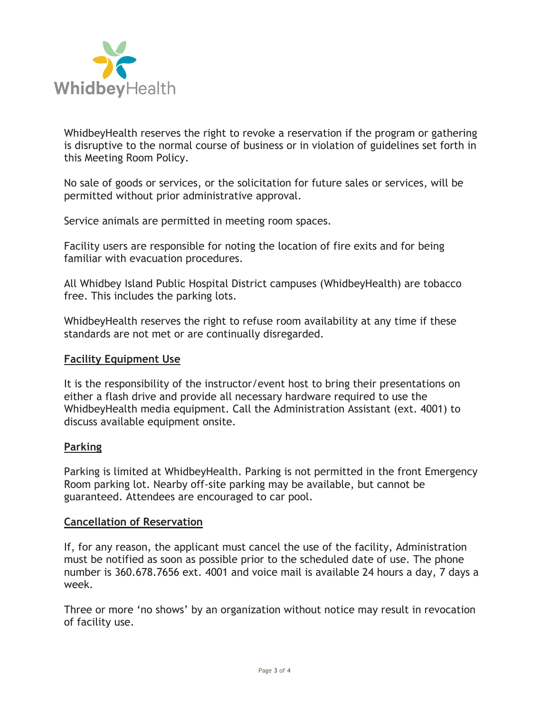

WhidbeyHealth reserves the right to revoke a reservation if the program or gathering is disruptive to the normal course of business or in violation of guidelines set forth in this Meeting Room Policy.

No sale of goods or services, or the solicitation for future sales or services, will be permitted without prior administrative approval.

Service animals are permitted in meeting room spaces.

Facility users are responsible for noting the location of fire exits and for being familiar with evacuation procedures.

All Whidbey Island Public Hospital District campuses (WhidbeyHealth) are tobacco free. This includes the parking lots.

WhidbeyHealth reserves the right to refuse room availability at any time if these standards are not met or are continually disregarded.

#### **Facility Equipment Use**

It is the responsibility of the instructor/event host to bring their presentations on either a flash drive and provide all necessary hardware required to use the WhidbeyHealth media equipment. Call the Administration Assistant (ext. 4001) to discuss available equipment onsite.

#### **Parking**

Parking is limited at WhidbeyHealth. Parking is not permitted in the front Emergency Room parking lot. Nearby off-site parking may be available, but cannot be guaranteed. Attendees are encouraged to car pool.

#### **Cancellation of Reservation**

If, for any reason, the applicant must cancel the use of the facility, Administration must be notified as soon as possible prior to the scheduled date of use. The phone number is 360.678.7656 ext. 4001 and voice mail is available 24 hours a day, 7 days a week.

Three or more 'no shows' by an organization without notice may result in revocation of facility use.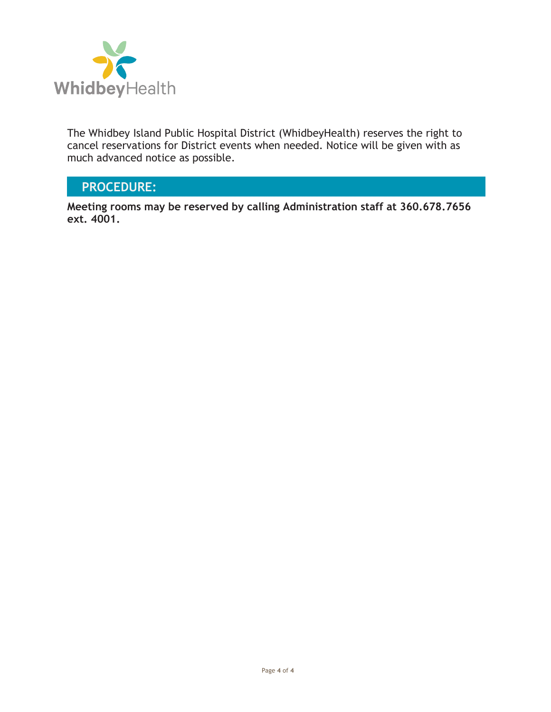

The Whidbey Island Public Hospital District (WhidbeyHealth) reserves the right to cancel reservations for District events when needed. Notice will be given with as much advanced notice as possible.

## **PROCEDURE:**

**Meeting rooms may be reserved by calling Administration staff at 360.678.7656 ext. 4001.**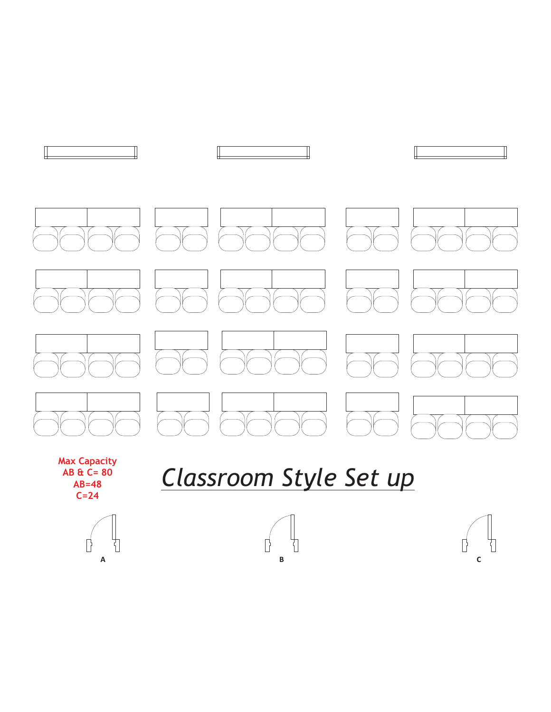

## *Classroom Style Set up*



**AB & C= 80 AB=48 C=24**



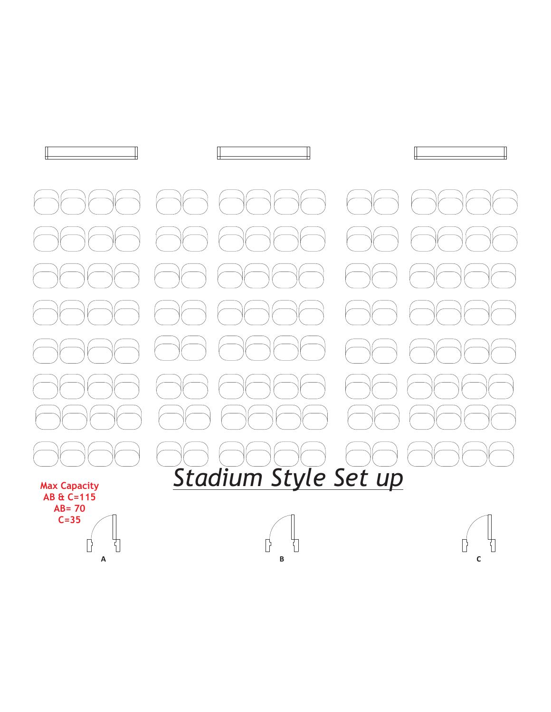

**C=35** $\mathbb{I}$  $\left\vert \cdot\right\vert$ 

 $\Box$  $\overline{\mathbf{r}}$ **A B C**

 $\Box$ 

Ī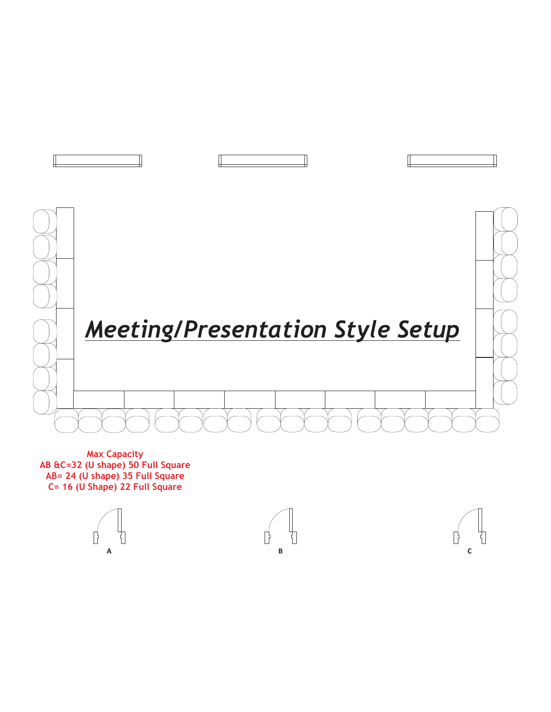

**Max Capacity AB &C=32 (U shape) 50 Full Square AB= 24 (U shape) 35 Full Square C= 16 (U Shape) 22 Full Square**